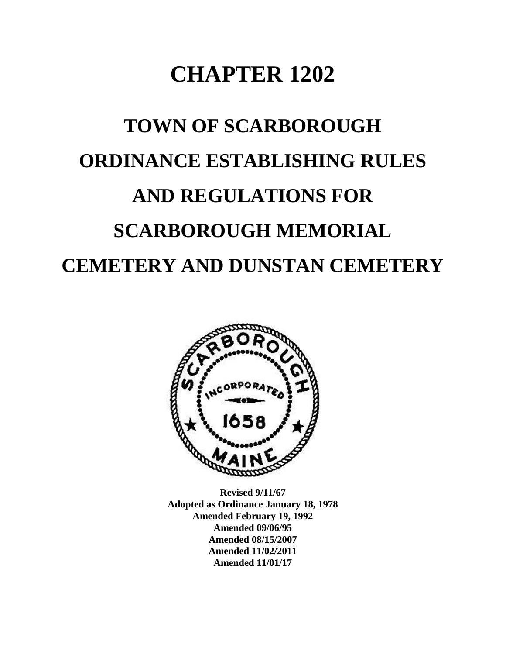# **CHAPTER 1202**

# **TOWN OF SCARBOROUGH ORDINANCE ESTABLISHING RULES AND REGULATIONS FOR SCARBOROUGH MEMORIAL CEMETERY AND DUNSTAN CEMETERY**



**Revised 9/11/67 Adopted as Ordinance January 18, 1978 Amended February 19, 1992 Amended 09/06/95 Amended 08/15/2007 Amended 11/02/2011 Amended 11/01/17**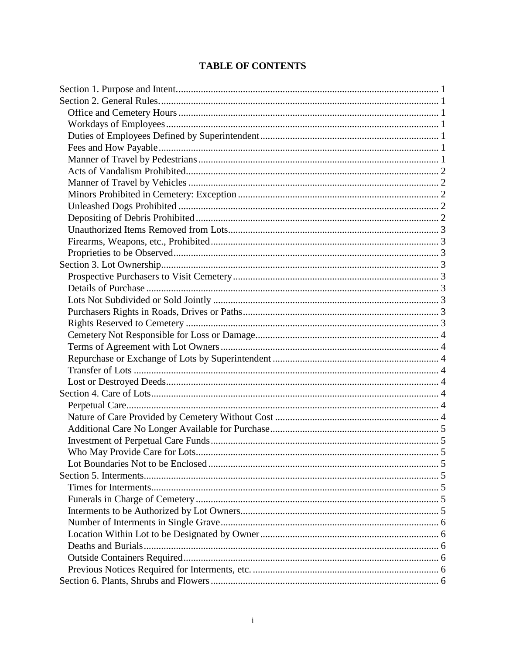# **TABLE OF CONTENTS**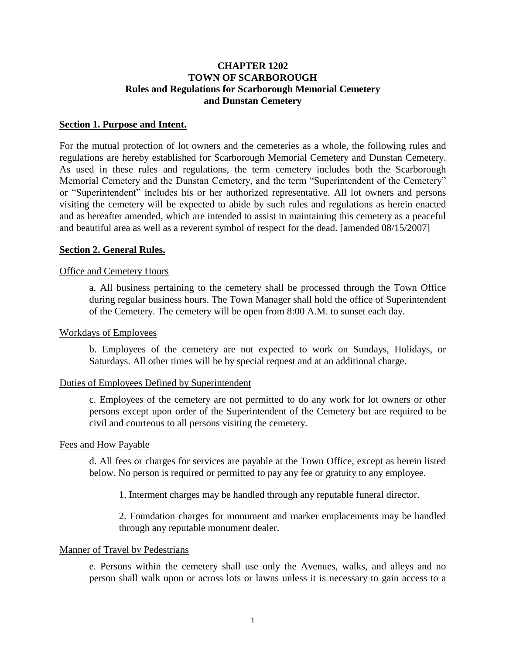# **CHAPTER 1202 TOWN OF SCARBOROUGH Rules and Regulations for Scarborough Memorial Cemetery and Dunstan Cemetery**

## <span id="page-3-0"></span>**Section 1. Purpose and Intent.**

For the mutual protection of lot owners and the cemeteries as a whole, the following rules and regulations are hereby established for Scarborough Memorial Cemetery and Dunstan Cemetery. As used in these rules and regulations, the term cemetery includes both the Scarborough Memorial Cemetery and the Dunstan Cemetery, and the term "Superintendent of the Cemetery" or "Superintendent" includes his or her authorized representative. All lot owners and persons visiting the cemetery will be expected to abide by such rules and regulations as herein enacted and as hereafter amended, which are intended to assist in maintaining this cemetery as a peaceful and beautiful area as well as a reverent symbol of respect for the dead. [amended 08/15/2007]

#### <span id="page-3-1"></span>**Section 2. General Rules.**

#### <span id="page-3-2"></span>Office and Cemetery Hours

a. All business pertaining to the cemetery shall be processed through the Town Office during regular business hours. The Town Manager shall hold the office of Superintendent of the Cemetery. The cemetery will be open from 8:00 A.M. to sunset each day.

#### <span id="page-3-3"></span>Workdays of Employees

b. Employees of the cemetery are not expected to work on Sundays, Holidays, or Saturdays. All other times will be by special request and at an additional charge.

#### <span id="page-3-4"></span>Duties of Employees Defined by Superintendent

c. Employees of the cemetery are not permitted to do any work for lot owners or other persons except upon order of the Superintendent of the Cemetery but are required to be civil and courteous to all persons visiting the cemetery.

#### <span id="page-3-5"></span>Fees and How Payable

d. All fees or charges for services are payable at the Town Office, except as herein listed below. No person is required or permitted to pay any fee or gratuity to any employee.

1. Interment charges may be handled through any reputable funeral director.

2. Foundation charges for monument and marker emplacements may be handled through any reputable monument dealer.

#### <span id="page-3-6"></span>Manner of Travel by Pedestrians

e. Persons within the cemetery shall use only the Avenues, walks, and alleys and no person shall walk upon or across lots or lawns unless it is necessary to gain access to a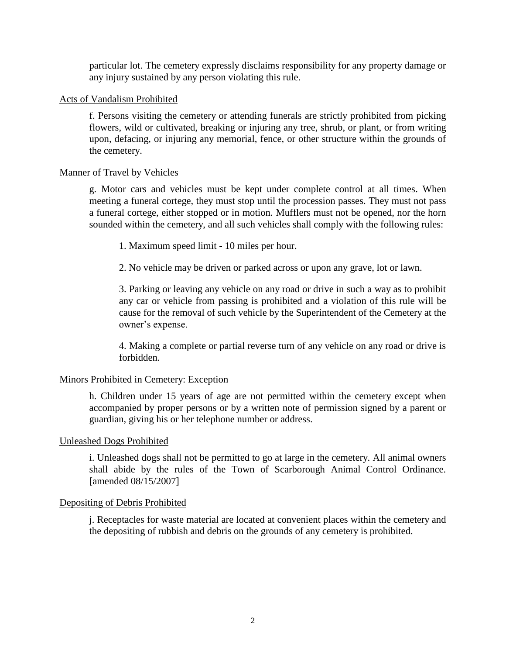particular lot. The cemetery expressly disclaims responsibility for any property damage or any injury sustained by any person violating this rule.

# <span id="page-4-0"></span>Acts of Vandalism Prohibited

f. Persons visiting the cemetery or attending funerals are strictly prohibited from picking flowers, wild or cultivated, breaking or injuring any tree, shrub, or plant, or from writing upon, defacing, or injuring any memorial, fence, or other structure within the grounds of the cemetery.

# <span id="page-4-1"></span>Manner of Travel by Vehicles

g. Motor cars and vehicles must be kept under complete control at all times. When meeting a funeral cortege, they must stop until the procession passes. They must not pass a funeral cortege, either stopped or in motion. Mufflers must not be opened, nor the horn sounded within the cemetery, and all such vehicles shall comply with the following rules:

1. Maximum speed limit - 10 miles per hour.

2. No vehicle may be driven or parked across or upon any grave, lot or lawn.

3. Parking or leaving any vehicle on any road or drive in such a way as to prohibit any car or vehicle from passing is prohibited and a violation of this rule will be cause for the removal of such vehicle by the Superintendent of the Cemetery at the owner's expense.

4. Making a complete or partial reverse turn of any vehicle on any road or drive is forbidden.

# <span id="page-4-2"></span>Minors Prohibited in Cemetery: Exception

h. Children under 15 years of age are not permitted within the cemetery except when accompanied by proper persons or by a written note of permission signed by a parent or guardian, giving his or her telephone number or address.

# <span id="page-4-3"></span>Unleashed Dogs Prohibited

i. Unleashed dogs shall not be permitted to go at large in the cemetery. All animal owners shall abide by the rules of the Town of Scarborough Animal Control Ordinance. [amended 08/15/2007]

# <span id="page-4-4"></span>Depositing of Debris Prohibited

j. Receptacles for waste material are located at convenient places within the cemetery and the depositing of rubbish and debris on the grounds of any cemetery is prohibited.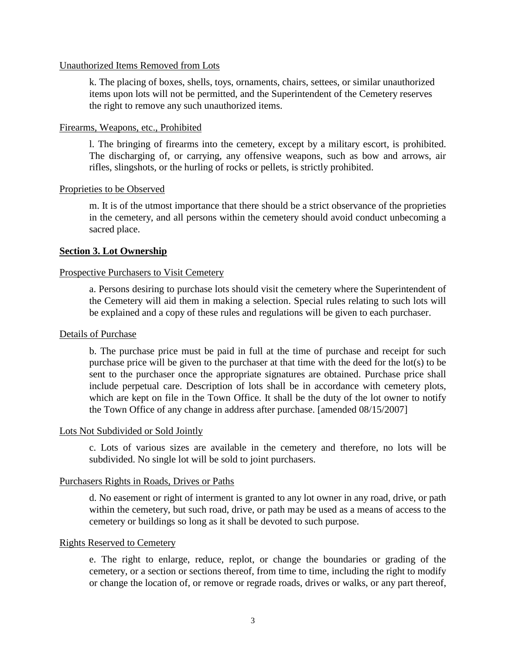## <span id="page-5-0"></span>Unauthorized Items Removed from Lots

k. The placing of boxes, shells, toys, ornaments, chairs, settees, or similar unauthorized items upon lots will not be permitted, and the Superintendent of the Cemetery reserves the right to remove any such unauthorized items.

## <span id="page-5-1"></span>Firearms, Weapons, etc., Prohibited

l. The bringing of firearms into the cemetery, except by a military escort, is prohibited. The discharging of, or carrying, any offensive weapons, such as bow and arrows, air rifles, slingshots, or the hurling of rocks or pellets, is strictly prohibited.

#### <span id="page-5-2"></span>Proprieties to be Observed

m. It is of the utmost importance that there should be a strict observance of the proprieties in the cemetery, and all persons within the cemetery should avoid conduct unbecoming a sacred place.

# <span id="page-5-3"></span>**Section 3. Lot Ownership**

#### <span id="page-5-4"></span>Prospective Purchasers to Visit Cemetery

a. Persons desiring to purchase lots should visit the cemetery where the Superintendent of the Cemetery will aid them in making a selection. Special rules relating to such lots will be explained and a copy of these rules and regulations will be given to each purchaser.

#### <span id="page-5-5"></span>Details of Purchase

b. The purchase price must be paid in full at the time of purchase and receipt for such purchase price will be given to the purchaser at that time with the deed for the lot(s) to be sent to the purchaser once the appropriate signatures are obtained. Purchase price shall include perpetual care. Description of lots shall be in accordance with cemetery plots, which are kept on file in the Town Office. It shall be the duty of the lot owner to notify the Town Office of any change in address after purchase. [amended 08/15/2007]

#### <span id="page-5-6"></span>Lots Not Subdivided or Sold Jointly

c. Lots of various sizes are available in the cemetery and therefore, no lots will be subdivided. No single lot will be sold to joint purchasers.

#### <span id="page-5-7"></span>Purchasers Rights in Roads, Drives or Paths

d. No easement or right of interment is granted to any lot owner in any road, drive, or path within the cemetery, but such road, drive, or path may be used as a means of access to the cemetery or buildings so long as it shall be devoted to such purpose.

#### <span id="page-5-8"></span>Rights Reserved to Cemetery

e. The right to enlarge, reduce, replot, or change the boundaries or grading of the cemetery, or a section or sections thereof, from time to time, including the right to modify or change the location of, or remove or regrade roads, drives or walks, or any part thereof,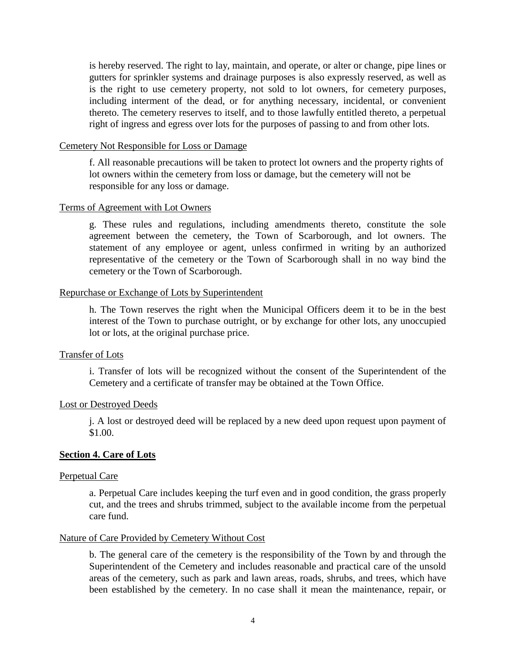is hereby reserved. The right to lay, maintain, and operate, or alter or change, pipe lines or gutters for sprinkler systems and drainage purposes is also expressly reserved, as well as is the right to use cemetery property, not sold to lot owners, for cemetery purposes, including interment of the dead, or for anything necessary, incidental, or convenient thereto. The cemetery reserves to itself, and to those lawfully entitled thereto, a perpetual right of ingress and egress over lots for the purposes of passing to and from other lots.

#### <span id="page-6-0"></span>Cemetery Not Responsible for Loss or Damage

f. All reasonable precautions will be taken to protect lot owners and the property rights of lot owners within the cemetery from loss or damage, but the cemetery will not be responsible for any loss or damage.

#### <span id="page-6-1"></span>Terms of Agreement with Lot Owners

g. These rules and regulations, including amendments thereto, constitute the sole agreement between the cemetery, the Town of Scarborough, and lot owners. The statement of any employee or agent, unless confirmed in writing by an authorized representative of the cemetery or the Town of Scarborough shall in no way bind the cemetery or the Town of Scarborough.

#### <span id="page-6-2"></span>Repurchase or Exchange of Lots by Superintendent

h. The Town reserves the right when the Municipal Officers deem it to be in the best interest of the Town to purchase outright, or by exchange for other lots, any unoccupied lot or lots, at the original purchase price.

#### <span id="page-6-3"></span>Transfer of Lots

i. Transfer of lots will be recognized without the consent of the Superintendent of the Cemetery and a certificate of transfer may be obtained at the Town Office.

#### <span id="page-6-4"></span>Lost or Destroyed Deeds

j. A lost or destroyed deed will be replaced by a new deed upon request upon payment of \$1.00.

# <span id="page-6-5"></span>**Section 4. Care of Lots**

#### <span id="page-6-6"></span>Perpetual Care

a. Perpetual Care includes keeping the turf even and in good condition, the grass properly cut, and the trees and shrubs trimmed, subject to the available income from the perpetual care fund.

#### <span id="page-6-7"></span>Nature of Care Provided by Cemetery Without Cost

b. The general care of the cemetery is the responsibility of the Town by and through the Superintendent of the Cemetery and includes reasonable and practical care of the unsold areas of the cemetery, such as park and lawn areas, roads, shrubs, and trees, which have been established by the cemetery. In no case shall it mean the maintenance, repair, or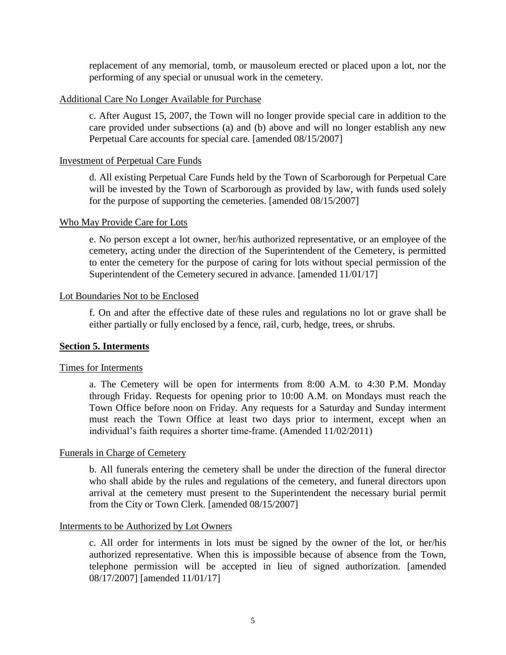replacement of any memorial, tomb, or mausoleum erected or placed upon a lot, nor the performing of any special or unusual work in the cemetery.

#### <span id="page-7-0"></span>Additional Care No Longer Available for Purchase

c. After August 15, 2007, the Town will no longer provide special care in addition to the care provided under subsections (a) and (b) above and will no longer establish any new Perpetual Care accounts for special care. [amended 08/15/2007]

#### <span id="page-7-1"></span>Investment of Perpetual Care Funds

d. All existing Perpetual Care Funds held by the Town of Scarborough for Perpetual Care will be invested by the Town of Scarborough as provided by law, with funds used solely for the purpose of supporting the cemeteries. [amended 08/15/2007]

#### <span id="page-7-2"></span>Who May Provide Care for Lots

e. No person except a lot owner, her/his authorized representative, or an employee of the cemetery, acting under the direction of the Superintendent of the Cemetery, is permitted to enter the cemetery for the purpose of caring for lots without special permission of the Superintendent of the Cemetery secured in advance. [amended 11/01/17]

#### <span id="page-7-3"></span>Lot Boundaries Not to be Enclosed

f. On and after the effective date of these rules and regulations no lot or grave shall be either partially or fully enclosed by a fence, rail, curb, hedge, trees, or shrubs.

# <span id="page-7-4"></span>**Section 5. Interments**

#### <span id="page-7-5"></span>Times for Interments

a. The Cemetery will be open for interments from 8:00 A.M. to 4:30 P.M. Monday through Friday. Requests for opening prior to 10:00 A.M. on Mondays must reach the Town Office before noon on Friday. Any requests for a Saturday and Sunday interment must reach the Town Office at least two days prior to interment, except when an individual's faith requires a shorter time-frame. (Amended 11/02/2011)

# <span id="page-7-6"></span>Funerals in Charge of Cemetery

b. All funerals entering the cemetery shall be under the direction of the funeral director who shall abide by the rules and regulations of the cemetery, and funeral directors upon arrival at the cemetery must present to the Superintendent the necessary burial permit from the City or Town Clerk. [amended 08/15/2007]

#### <span id="page-7-7"></span>Interments to be Authorized by Lot Owners

c. All order for interments in lots must be signed by the owner of the lot, or her/his authorized representative. When this is impossible because of absence from the Town, telephone permission will be accepted in lieu of signed authorization. [amended 08/17/2007] [amended 11/01/17]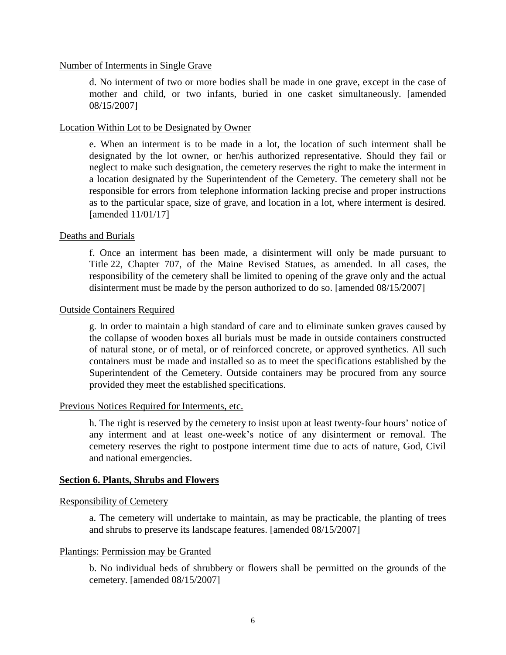#### <span id="page-8-0"></span>Number of Interments in Single Grave

d. No interment of two or more bodies shall be made in one grave, except in the case of mother and child, or two infants, buried in one casket simultaneously. [amended 08/15/2007]

#### <span id="page-8-1"></span>Location Within Lot to be Designated by Owner

e. When an interment is to be made in a lot, the location of such interment shall be designated by the lot owner, or her/his authorized representative. Should they fail or neglect to make such designation, the cemetery reserves the right to make the interment in a location designated by the Superintendent of the Cemetery. The cemetery shall not be responsible for errors from telephone information lacking precise and proper instructions as to the particular space, size of grave, and location in a lot, where interment is desired. [amended 11/01/17]

#### <span id="page-8-2"></span>Deaths and Burials

f. Once an interment has been made, a disinterment will only be made pursuant to Title 22, Chapter 707, of the Maine Revised Statues, as amended. In all cases, the responsibility of the cemetery shall be limited to opening of the grave only and the actual disinterment must be made by the person authorized to do so. [amended 08/15/2007]

#### <span id="page-8-3"></span>Outside Containers Required

g. In order to maintain a high standard of care and to eliminate sunken graves caused by the collapse of wooden boxes all burials must be made in outside containers constructed of natural stone, or of metal, or of reinforced concrete, or approved synthetics. All such containers must be made and installed so as to meet the specifications established by the Superintendent of the Cemetery. Outside containers may be procured from any source provided they meet the established specifications.

#### <span id="page-8-4"></span>Previous Notices Required for Interments, etc.

h. The right is reserved by the cemetery to insist upon at least twenty-four hours' notice of any interment and at least one-week's notice of any disinterment or removal. The cemetery reserves the right to postpone interment time due to acts of nature, God, Civil and national emergencies.

# <span id="page-8-5"></span>**Section 6. Plants, Shrubs and Flowers**

#### <span id="page-8-6"></span>Responsibility of Cemetery

a. The cemetery will undertake to maintain, as may be practicable, the planting of trees and shrubs to preserve its landscape features. [amended 08/15/2007]

#### <span id="page-8-7"></span>Plantings: Permission may be Granted

b. No individual beds of shrubbery or flowers shall be permitted on the grounds of the cemetery. [amended 08/15/2007]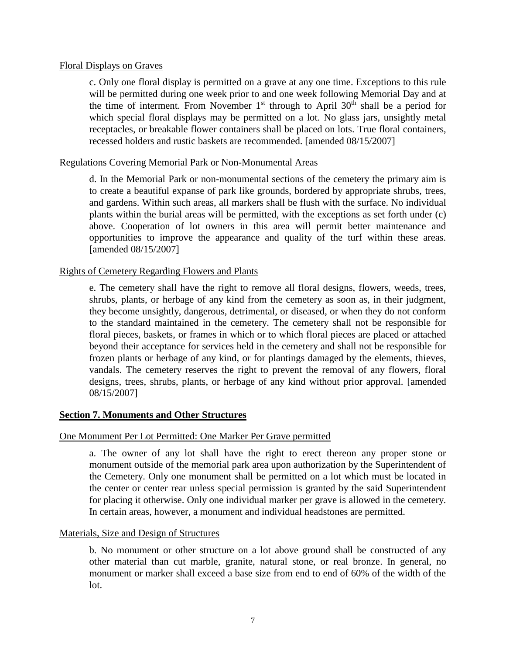# <span id="page-9-0"></span>Floral Displays on Graves

c. Only one floral display is permitted on a grave at any one time. Exceptions to this rule will be permitted during one week prior to and one week following Memorial Day and at the time of interment. From November  $1<sup>st</sup>$  through to April 30<sup>th</sup> shall be a period for which special floral displays may be permitted on a lot. No glass jars, unsightly metal receptacles, or breakable flower containers shall be placed on lots. True floral containers, recessed holders and rustic baskets are recommended. [amended 08/15/2007]

## <span id="page-9-1"></span>Regulations Covering Memorial Park or Non-Monumental Areas

d. In the Memorial Park or non-monumental sections of the cemetery the primary aim is to create a beautiful expanse of park like grounds, bordered by appropriate shrubs, trees, and gardens. Within such areas, all markers shall be flush with the surface. No individual plants within the burial areas will be permitted, with the exceptions as set forth under (c) above. Cooperation of lot owners in this area will permit better maintenance and opportunities to improve the appearance and quality of the turf within these areas. [amended 08/15/2007]

# <span id="page-9-2"></span>Rights of Cemetery Regarding Flowers and Plants

e. The cemetery shall have the right to remove all floral designs, flowers, weeds, trees, shrubs, plants, or herbage of any kind from the cemetery as soon as, in their judgment, they become unsightly, dangerous, detrimental, or diseased, or when they do not conform to the standard maintained in the cemetery. The cemetery shall not be responsible for floral pieces, baskets, or frames in which or to which floral pieces are placed or attached beyond their acceptance for services held in the cemetery and shall not be responsible for frozen plants or herbage of any kind, or for plantings damaged by the elements, thieves, vandals. The cemetery reserves the right to prevent the removal of any flowers, floral designs, trees, shrubs, plants, or herbage of any kind without prior approval. [amended 08/15/2007]

# <span id="page-9-3"></span>**Section 7. Monuments and Other Structures**

# <span id="page-9-4"></span>One Monument Per Lot Permitted: One Marker Per Grave permitted

a. The owner of any lot shall have the right to erect thereon any proper stone or monument outside of the memorial park area upon authorization by the Superintendent of the Cemetery. Only one monument shall be permitted on a lot which must be located in the center or center rear unless special permission is granted by the said Superintendent for placing it otherwise. Only one individual marker per grave is allowed in the cemetery. In certain areas, however, a monument and individual headstones are permitted.

#### <span id="page-9-5"></span>Materials, Size and Design of Structures

b. No monument or other structure on a lot above ground shall be constructed of any other material than cut marble, granite, natural stone, or real bronze. In general, no monument or marker shall exceed a base size from end to end of 60% of the width of the lot.